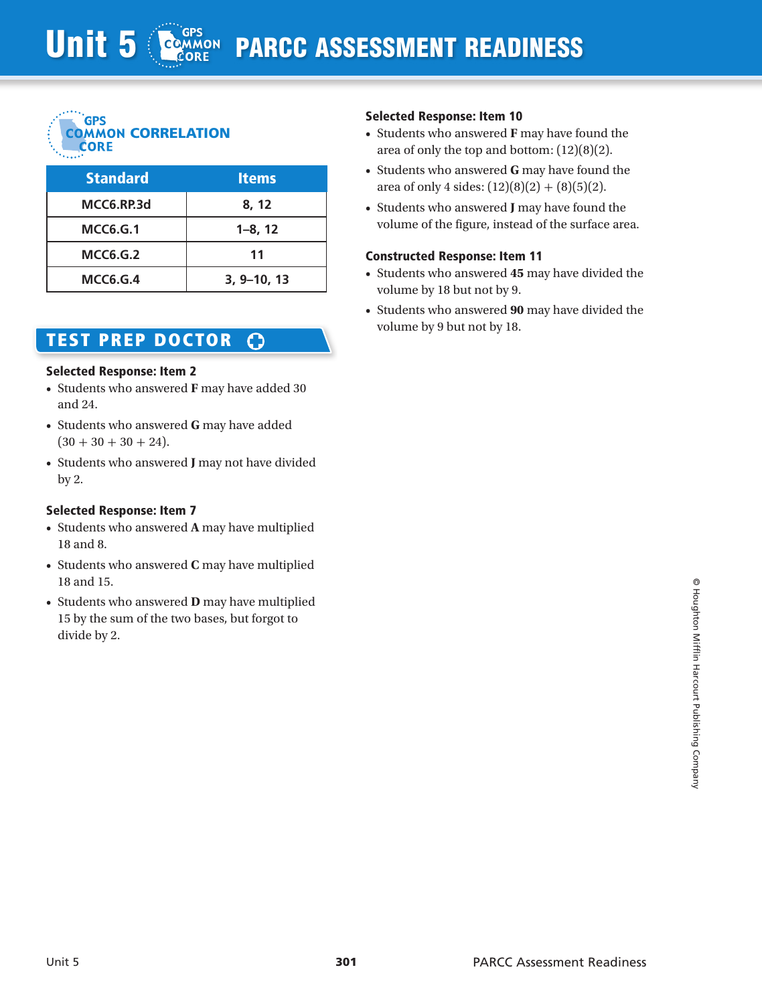

| <b>Standard</b> | <b>Items</b>    |
|-----------------|-----------------|
| MCC6.RP.3d      | 8, 12           |
| <b>MCC6.G.1</b> | $1 - 8$ , 12    |
| <b>MCC6.G.2</b> | 11              |
| <b>MCC6.G.4</b> | $3, 9 - 10, 13$ |

#### TEST prep doctor ౧

#### Selected Response: Item 2

- • Students who answered **F** may have added 30 and 24.
- • Students who answered **G** may have added  $(30 + 30 + 30 + 24).$
- • Students who answered **J** may not have divided by 2.

## Selected Response: Item 7

- • Students who answered **A** may have multiplied 18 and 8.
- • Students who answered **C** may have multiplied 18 and 15.
- • Students who answered **D** may have multiplied 15 by the sum of the two bases, but forgot to divide by 2.

## Selected Response: Item 10

- • Students who answered **F** may have found the area of only the top and bottom: (12)(8)(2).
- • Students who answered **G** may have found the area of only 4 sides:  $(12)(8)(2) + (8)(5)(2)$ .
- • Students who answered **J** may have found the volume of the figure, instead of the surface area.

#### Constructed Response: Item 11

- • Students who answered **45** may have divided the volume by 18 but not by 9.
- • Students who answered **90** may have divided the volume by 9 but not by 18.